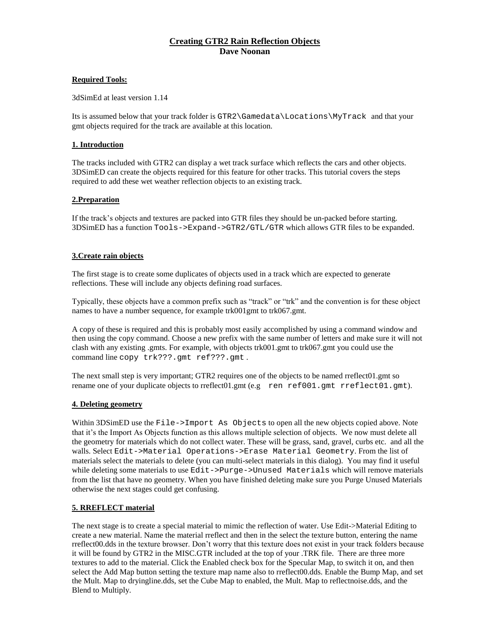# **Creating GTR2 Rain Reflection Objects Dave Noonan**

# **Required Tools:**

3dSimEd at least version 1.14

Its is assumed below that your track folder is GTR2\Gamedata\Locations\MyTrack and that your gmt objects required for the track are available at this location.

# **1. Introduction**

The tracks included with GTR2 can display a wet track surface which reflects the cars and other objects. 3DSimED can create the objects required for this feature for other tracks. This tutorial covers the steps required to add these wet weather reflection objects to an existing track.

# **2.Preparation**

If the track's objects and textures are packed into GTR files they should be un-packed before starting. 3DSimED has a function Tools->Expand->GTR2/GTL/GTR which allows GTR files to be expanded.

### **3.Create rain objects**

The first stage is to create some duplicates of objects used in a track which are expected to generate reflections. These will include any objects defining road surfaces.

Typically, these objects have a common prefix such as "track" or "trk" and the convention is for these object names to have a number sequence, for example trk001gmt to trk067.gmt.

A copy of these is required and this is probably most easily accomplished by using a command window and then using the copy command. Choose a new prefix with the same number of letters and make sure it will not clash with any existing .gmts. For example, with objects trk001.gmt to trk067.gmt you could use the command line copy trk???.gmt ref???.gmt.

The next small step is very important; GTR2 requires one of the objects to be named rreflect01.gmt so rename one of your duplicate objects to rreflect01.gmt  $(e.g.$  ren  $ref001.gmt$  rreflect01.gmt).

#### **4. Deleting geometry**

Within 3DSimED use the File->Import As Objects to open all the new objects copied above. Note that it's the Import As Objects function as this allows multiple selection of objects. We now must delete all the geometry for materials which do not collect water. These will be grass, sand, gravel, curbs etc. and all the walls. Select Edit->Material Operations->Erase Material Geometry. From the list of materials select the materials to delete (you can multi-select materials in this dialog). You may find it useful while deleting some materials to use Edit->Purge->Unused Materials which will remove materials from the list that have no geometry. When you have finished deleting make sure you Purge Unused Materials otherwise the next stages could get confusing.

#### **5. RREFLECT material**

The next stage is to create a special material to mimic the reflection of water. Use Edit->Material Editing to create a new material. Name the material rreflect and then in the select the texture button, entering the name rreflect00.dds in the texture browser. Don't worry that this texture does not exist in your track folders because it will be found by GTR2 in the MISC.GTR included at the top of your .TRK file. There are three more textures to add to the material. Click the Enabled check box for the Specular Map, to switch it on, and then select the Add Map button setting the texture map name also to rreflect00.dds. Enable the Bump Map, and set the Mult. Map to dryingline.dds, set the Cube Map to enabled, the Mult. Map to reflectnoise.dds, and the Blend to Multiply.